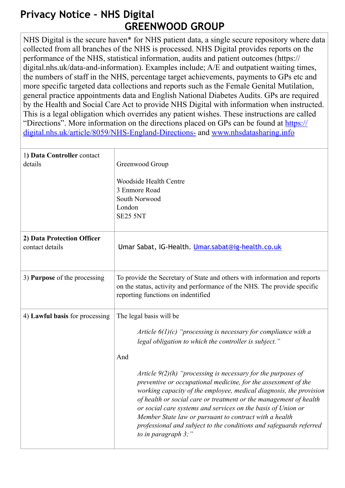## **Privacy Notice – NHS Digital GREENWOOD GROUP**

NHS Digital is the secure haven\* for NHS patient data, a single secure repository where data collected from all branches of the NHS is processed. NHS Digital provides reports on the performance of the NHS, statistical information, audits and patient outcomes (https:// digital.nhs.uk/data-and-information). Examples include; A/E and outpatient waiting times, the numbers of staff in the NHS, percentage target achievements, payments to GPs etc and more specific targeted data collections and reports such as the Female Genital Mutilation, general practice appointments data and English National Diabetes Audits. GPs are required by the Health and Social Care Act to provide NHS Digital with information when instructed. This is a legal obligation which overrides any patient wishes. These instructions are called ["Directions". More information on the directions placed on GPs can be found at https://](https://digital.nhs.uk/article/8059/NHS-England-Directions-) digital.nhs.uk/article/8059/NHS-England-Directions- and www.nhsdatasharing.info

| 1) Data Controller contact<br>details         | Greenwood Group<br><b>Woodside Health Centre</b><br>3 Enmore Road<br>South Norwood<br>London<br><b>SE25 5NT</b>                                                                                                                                                                                                                                                                                                                                                                                                                                                                                                                                                      |
|-----------------------------------------------|----------------------------------------------------------------------------------------------------------------------------------------------------------------------------------------------------------------------------------------------------------------------------------------------------------------------------------------------------------------------------------------------------------------------------------------------------------------------------------------------------------------------------------------------------------------------------------------------------------------------------------------------------------------------|
| 2) Data Protection Officer<br>contact details | Umar Sabat, IG-Health. Umar.sabat@ig-health.co.uk                                                                                                                                                                                                                                                                                                                                                                                                                                                                                                                                                                                                                    |
| 3) Purpose of the processing                  | To provide the Secretary of State and others with information and reports<br>on the status, activity and performance of the NHS. The provide specific<br>reporting functions on indentified                                                                                                                                                                                                                                                                                                                                                                                                                                                                          |
| 4) Lawful basis for processing                | The legal basis will be<br>Article $6(1)(c)$ "processing is necessary for compliance with a<br>legal obligation to which the controller is subject."<br>And<br>Article $9(2)(h)$ "processing is necessary for the purposes of<br>preventive or occupational medicine, for the assessment of the<br>working capacity of the employee, medical diagnosis, the provision<br>of health or social care or treatment or the management of health<br>or social care systems and services on the basis of Union or<br>Member State law or pursuant to contract with a health<br>professional and subject to the conditions and safeguards referred<br>to in paragraph $3$ ;" |